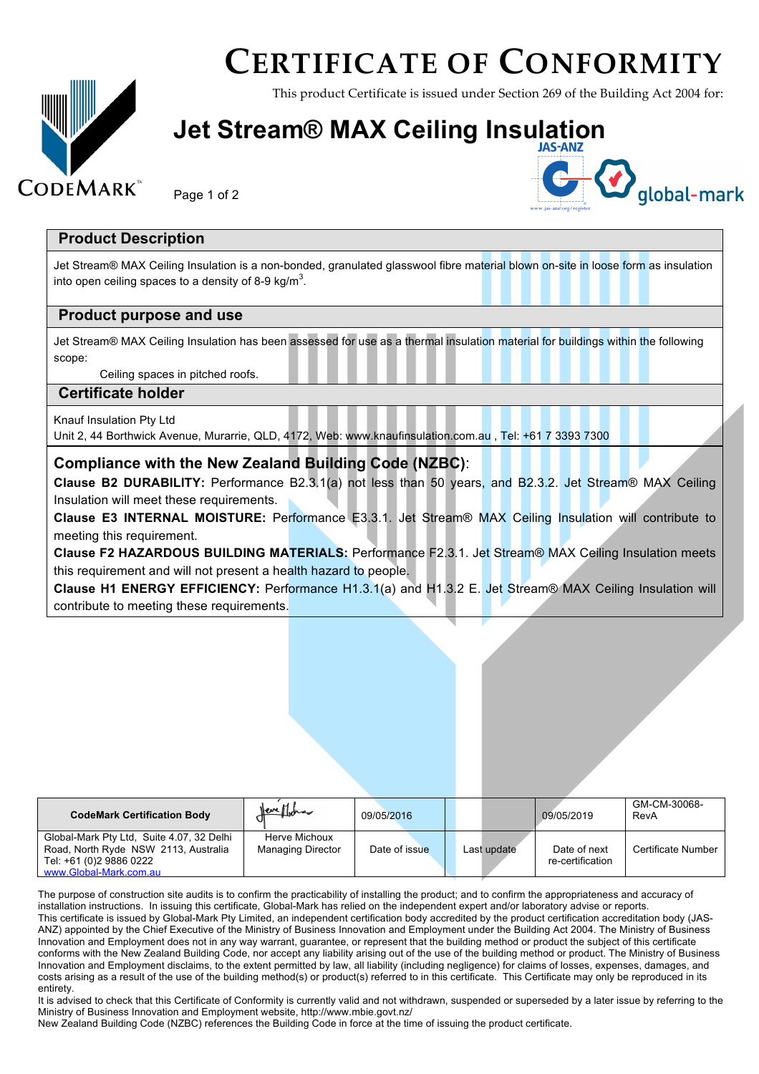## **CERTIFICATE OF CONFORMITY**

This product Certificate is issued under Section 269 of the Building Act 2004 for:

### **Jet Stream® MAX Ceiling Insulation**

#### Page 1 of 2



#### **Product Description**

**CODEMARK** 

Jet Stream® MAX Ceiling Insulation is a non-bonded, granulated glasswool fibre material blown on-site in loose form as insulation into open ceiling spaces to a density of 8-9 kg/m<sup>3</sup>.

#### **Product purpose and use**

Jet Stream® MAX Ceiling Insulation has been assessed for use as a thermal insulation material for buildings within the following scope:

Ceiling spaces in pitched roofs.

#### **Certificate holder**

Knauf Insulation Pty Ltd

Unit 2, 44 Borthwick Avenue, Murarrie, QLD, 4172, Web: www.knaufinsulation.com.au , Tel: +61 7 3393 7300

#### **Compliance with the New Zealand Building Code (NZBC)**:

**Clause B2 DURABILITY:** Performance B2.3.1(a) not less than 50 years, and B2.3.2. Jet Stream® MAX Ceiling Insulation will meet these requirements.

**Clause E3 INTERNAL MOISTURE:** Performance E3.3.1. Jet Stream® MAX Ceiling Insulation will contribute to meeting this requirement.

**Clause F2 HAZARDOUS BUILDING MATERIALS:** Performance F2.3.1. Jet Stream® MAX Ceiling Insulation meets this requirement and will not present a health hazard to people.

**Clause H1 ENERGY EFFICIENCY:** Performance H1.3.1(a) and H1.3.2 E. Jet Stream® MAX Ceiling Insulation will contribute to meeting these requirements.

| <b>CodeMark Certification Body</b>                                                                                                     | <u>Neve Mo</u> bra                        | 09/05/2016    |             | 09/05/2019                       | GM-CM-30068-<br>RevA |
|----------------------------------------------------------------------------------------------------------------------------------------|-------------------------------------------|---------------|-------------|----------------------------------|----------------------|
| Global-Mark Pty Ltd. Suite 4.07, 32 Delhi<br>Road, North Ryde NSW 2113, Australia<br>Tel: +61 (0)2 9886 0222<br>www.Global-Mark.com.au | Herve Michoux<br><b>Managing Director</b> | Date of issue | Last update | Date of next<br>re-certification | Certificate Number   |

The purpose of construction site audits is to confirm the practicability of installing the product; and to confirm the appropriateness and accuracy of installation instructions. In issuing this certificate, Global-Mark has relied on the independent expert and/or laboratory advise or reports. This certificate is issued by Global-Mark Pty Limited, an independent certification body accredited by the product certification accreditation body (JAS-ANZ) appointed by the Chief Executive of the Ministry of Business Innovation and Employment under the Building Act 2004. The Ministry of Business Innovation and Employment does not in any way warrant, guarantee, or represent that the building method or product the subject of this certificate conforms with the New Zealand Building Code, nor accept any liability arising out of the use of the building method or product. The Ministry of Business Innovation and Employment disclaims, to the extent permitted by law, all liability (including negligence) for claims of losses, expenses, damages, and costs arising as a result of the use of the building method(s) or product(s) referred to in this certificate. This Certificate may only be reproduced in its entirety.

It is advised to check that this Certificate of Conformity is currently valid and not withdrawn, suspended or superseded by a later issue by referring to the Ministry of Business Innovation and Employment website, http://www.mbie.govt.nz/

New Zealand Building Code (NZBC) references the Building Code in force at the time of issuing the product certificate.